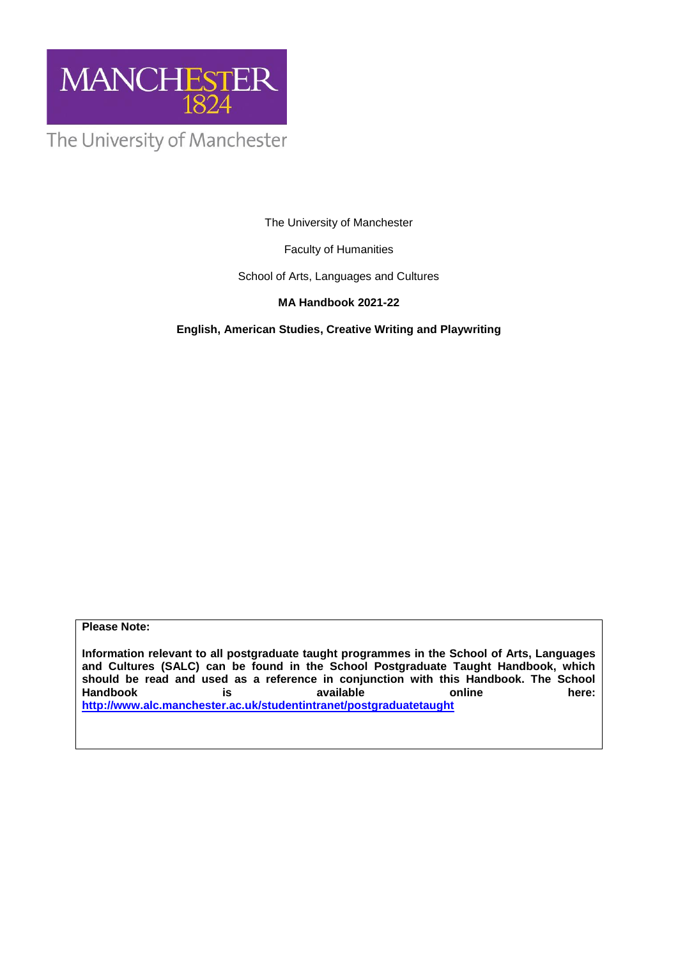

The University of Manchester

The University of Manchester

Faculty of Humanities

School of Arts, Languages and Cultures

# **MA Handbook 2021-22**

**English, American Studies, Creative Writing and Playwriting**

**Please Note:** 

**Information relevant to all postgraduate taught programmes in the School of Arts, Languages and Cultures (SALC) can be found in the School Postgraduate Taught Handbook, which**  should be read and used as a reference in conjunction with this Handbook. The School<br>
Handbook **is** available online online here: **Handbook is available online here: <http://www.alc.manchester.ac.uk/studentintranet/postgraduatetaught>**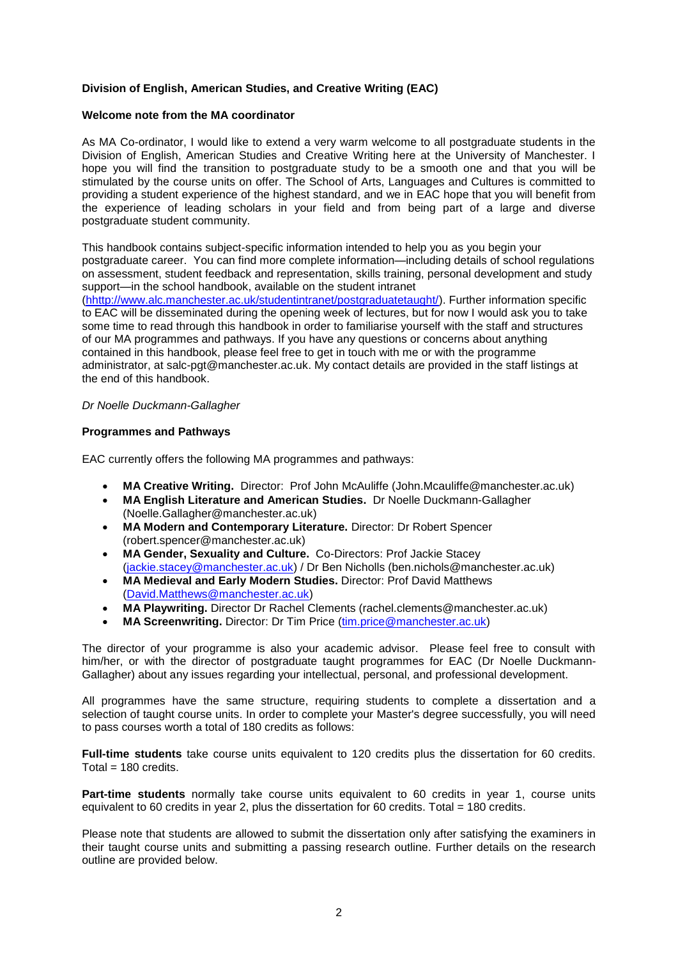## **Division of English, American Studies, and Creative Writing (EAC)**

### **Welcome note from the MA coordinator**

As MA Co-ordinator, I would like to extend a very warm welcome to all postgraduate students in the Division of English, American Studies and Creative Writing here at the University of Manchester. I hope you will find the transition to postgraduate study to be a smooth one and that you will be stimulated by the course units on offer. The School of Arts, Languages and Cultures is committed to providing a student experience of the highest standard, and we in EAC hope that you will benefit from the experience of leading scholars in your field and from being part of a large and diverse postgraduate student community.

This handbook contains subject-specific information intended to help you as you begin your postgraduate career. You can find more complete information—including details of school regulations on assessment, student feedback and representation, skills training, personal development and study support—in the school handbook, available on the student intranet

[\(hhttp://www.alc.manchester.ac.uk/studentintranet/postgraduatetaught/\)](http://documents.manchester.ac.uk/display.aspx?DocID=14089). Further information specific to EAC will be disseminated during the opening week of lectures, but for now I would ask you to take some time to read through this handbook in order to familiarise yourself with the staff and structures of our MA programmes and pathways. If you have any questions or concerns about anything contained in this handbook, please feel free to get in touch with me or with the programme administrator, at salc-pgt@manchester.ac.uk. My contact details are provided in the staff listings at the end of this handbook.

#### *Dr Noelle Duckmann-Gallagher*

#### **Programmes and Pathways**

EAC currently offers the following MA programmes and pathways:

- **MA Creative Writing.** Director: Prof John McAuliffe (John.Mcauliffe@manchester.ac.uk)
- **MA English Literature and American Studies.** Dr Noelle Duckmann-Gallagher (Noelle.Gallagher@manchester.ac.uk)
- **MA Modern and Contemporary Literature.** Director: Dr Robert Spencer (robert.spencer@manchester.ac.uk)
- **MA Gender, Sexuality and Culture.** Co-Directors: Prof Jackie Stacey [\(jackie.stacey@manchester.ac.uk\)](mailto:jackie.stacey@manchester.ac.uk) / Dr Ben Nicholls (ben.nichols@manchester.ac.uk)
- **MA Medieval and Early Modern Studies.** Director: Prof David Matthews [\(David.Matthews@manchester.ac.uk\)](mailto:David.Matthews@manchester.ac.uk)
- **MA Playwriting.** Director Dr Rachel Clements (rachel.clements@manchester.ac.uk)
- **MA Screenwriting.** Director: Dr Tim Price [\(tim.price@manchester.ac.uk\)](mailto:tim.price@manchester.ac.uk)

The director of your programme is also your academic advisor. Please feel free to consult with him/her, or with the director of postgraduate taught programmes for EAC (Dr Noelle Duckmann-Gallagher) about any issues regarding your intellectual, personal, and professional development.

All programmes have the same structure, requiring students to complete a dissertation and a selection of taught course units. In order to complete your Master's degree successfully, you will need to pass courses worth a total of 180 credits as follows:

**Full-time students** take course units equivalent to 120 credits plus the dissertation for 60 credits.  $Total = 180$  credits.

**Part-time students** normally take course units equivalent to 60 credits in year 1, course units equivalent to 60 credits in year 2, plus the dissertation for 60 credits. Total = 180 credits.

Please note that students are allowed to submit the dissertation only after satisfying the examiners in their taught course units and submitting a passing research outline. Further details on the research outline are provided below.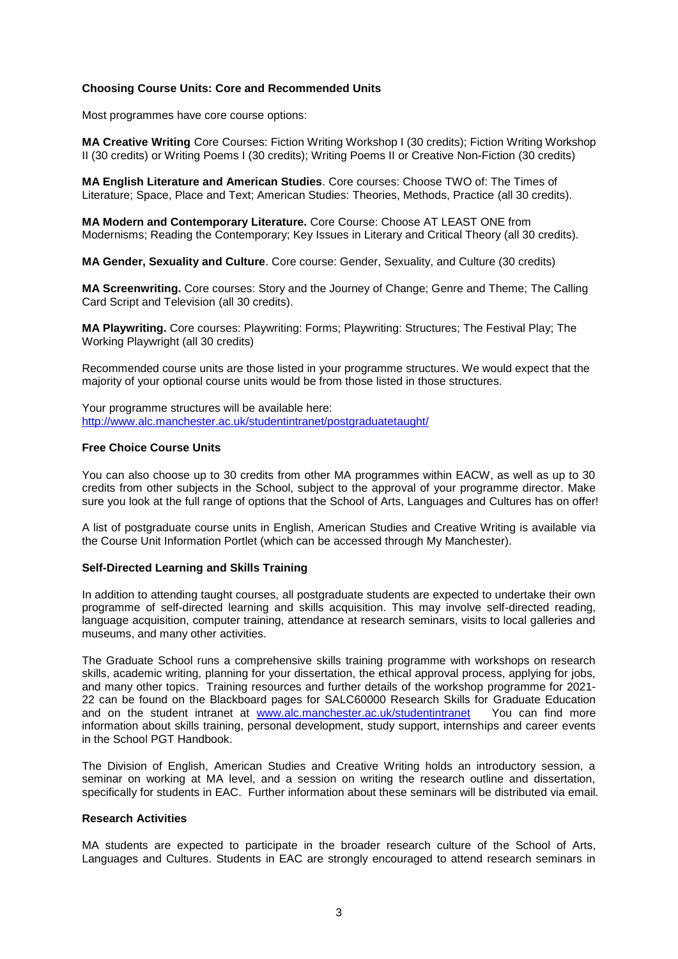### **Choosing Course Units: Core and Recommended Units**

Most programmes have core course options:

**MA Creative Writing** Core Courses: Fiction Writing Workshop I (30 credits); Fiction Writing Workshop II (30 credits) or Writing Poems I (30 credits); Writing Poems II or Creative Non-Fiction (30 credits)

**MA English Literature and American Studies**. Core courses: Choose TWO of: The Times of Literature; Space, Place and Text; American Studies: Theories, Methods, Practice (all 30 credits).

**MA Modern and Contemporary Literature.** Core Course: Choose AT LEAST ONE from Modernisms; Reading the Contemporary; Key Issues in Literary and Critical Theory (all 30 credits).

**MA Gender, Sexuality and Culture**. Core course: Gender, Sexuality, and Culture (30 credits)

**MA Screenwriting.** Core courses: Story and the Journey of Change; Genre and Theme; The Calling Card Script and Television (all 30 credits).

**MA Playwriting.** Core courses: Playwriting: Forms; Playwriting: Structures; The Festival Play; The Working Playwright (all 30 credits)

Recommended course units are those listed in your programme structures. We would expect that the majority of your optional course units would be from those listed in those structures.

Your programme structures will be available here: <http://www.alc.manchester.ac.uk/studentintranet/postgraduatetaught/>

#### **Free Choice Course Units**

You can also choose up to 30 credits from other MA programmes within EACW, as well as up to 30 credits from other subjects in the School, subject to the approval of your programme director. Make sure you look at the full range of options that the School of Arts, Languages and Cultures has on offer!

A list of postgraduate course units in English, American Studies and Creative Writing is available via the Course Unit Information Portlet (which can be accessed through My Manchester).

### **Self-Directed Learning and Skills Training**

In addition to attending taught courses, all postgraduate students are expected to undertake their own programme of self-directed learning and skills acquisition. This may involve self-directed reading, language acquisition, computer training, attendance at research seminars, visits to local galleries and museums, and many other activities.

The Graduate School runs a comprehensive skills training programme with workshops on research skills, academic writing, planning for your dissertation, the ethical approval process, applying for jobs, and many other topics. Training resources and further details of the workshop programme for 2021- 22 can be found on the Blackboard pages for SALC60000 Research Skills for Graduate Education and on the student intranet at [www.alc.manchester.ac.uk/studentintranet](http://www.alc.manchester.ac.uk/studentintranet) You can find more information about skills training, personal development, study support, internships and career events in the School PGT Handbook.

The Division of English, American Studies and Creative Writing holds an introductory session, a seminar on working at MA level, and a session on writing the research outline and dissertation, specifically for students in EAC. Further information about these seminars will be distributed via email.

#### **Research Activities**

MA students are expected to participate in the broader research culture of the School of Arts, Languages and Cultures. Students in EAC are strongly encouraged to attend research seminars in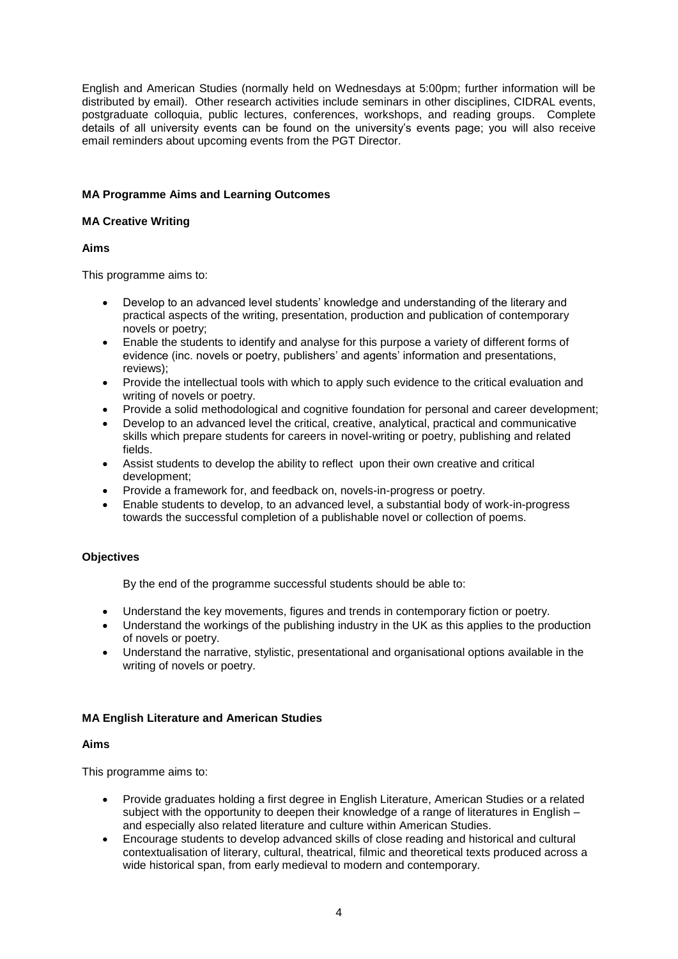English and American Studies (normally held on Wednesdays at 5:00pm; further information will be distributed by email). Other research activities include seminars in other disciplines, CIDRAL events, postgraduate colloquia, public lectures, conferences, workshops, and reading groups. Complete details of all university events can be found on the university's events page; you will also receive email reminders about upcoming events from the PGT Director.

## **MA Programme Aims and Learning Outcomes**

### **MA Creative Writing**

### **Aims**

This programme aims to:

- Develop to an advanced level students' knowledge and understanding of the literary and practical aspects of the writing, presentation, production and publication of contemporary novels or poetry;
- Enable the students to identify and analyse for this purpose a variety of different forms of evidence (inc. novels or poetry, publishers' and agents' information and presentations, reviews);
- Provide the intellectual tools with which to apply such evidence to the critical evaluation and writing of novels or poetry.
- Provide a solid methodological and cognitive foundation for personal and career development;
- Develop to an advanced level the critical, creative, analytical, practical and communicative skills which prepare students for careers in novel-writing or poetry, publishing and related fields.
- Assist students to develop the ability to reflect upon their own creative and critical development;
- Provide a framework for, and feedback on, novels-in-progress or poetry.
- Enable students to develop, to an advanced level, a substantial body of work-in-progress towards the successful completion of a publishable novel or collection of poems.

## **Objectives**

By the end of the programme successful students should be able to:

- Understand the key movements, figures and trends in contemporary fiction or poetry.
- Understand the workings of the publishing industry in the UK as this applies to the production of novels or poetry.
- Understand the narrative, stylistic, presentational and organisational options available in the writing of novels or poetry.

### **MA English Literature and American Studies**

### **Aims**

This programme aims to:

- Provide graduates holding a first degree in English Literature, American Studies or a related subject with the opportunity to deepen their knowledge of a range of literatures in English – and especially also related literature and culture within American Studies.
- Encourage students to develop advanced skills of close reading and historical and cultural contextualisation of literary, cultural, theatrical, filmic and theoretical texts produced across a wide historical span, from early medieval to modern and contemporary.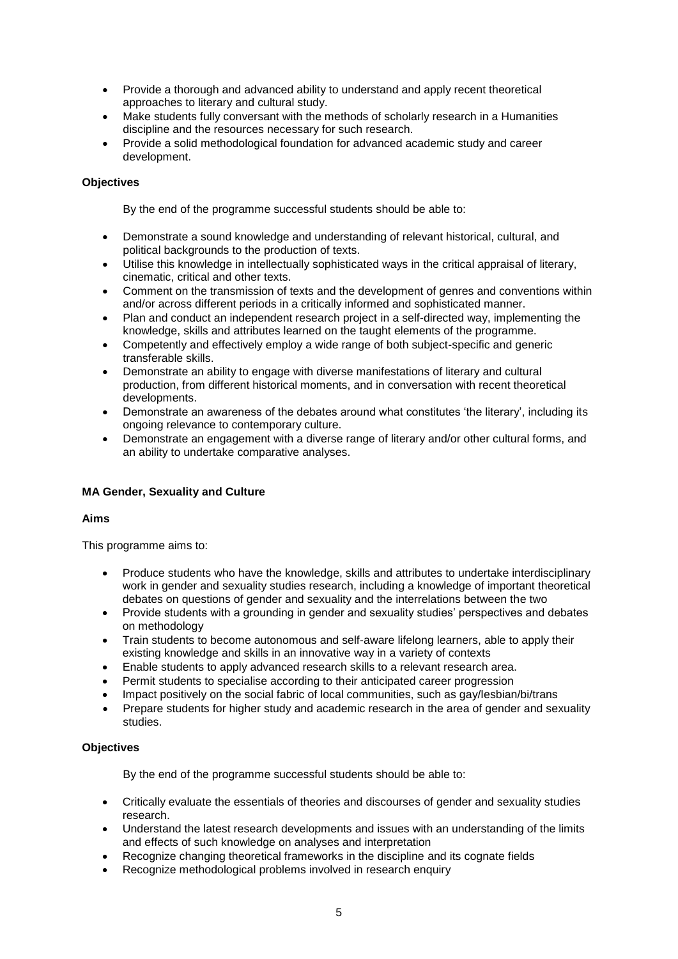- Provide a thorough and advanced ability to understand and apply recent theoretical approaches to literary and cultural study.
- Make students fully conversant with the methods of scholarly research in a Humanities discipline and the resources necessary for such research.
- Provide a solid methodological foundation for advanced academic study and career development.

### **Objectives**

By the end of the programme successful students should be able to:

- Demonstrate a sound knowledge and understanding of relevant historical, cultural, and political backgrounds to the production of texts.
- Utilise this knowledge in intellectually sophisticated ways in the critical appraisal of literary, cinematic, critical and other texts.
- Comment on the transmission of texts and the development of genres and conventions within and/or across different periods in a critically informed and sophisticated manner.
- Plan and conduct an independent research project in a self-directed way, implementing the knowledge, skills and attributes learned on the taught elements of the programme.
- Competently and effectively employ a wide range of both subject-specific and generic transferable skills.
- Demonstrate an ability to engage with diverse manifestations of literary and cultural production, from different historical moments, and in conversation with recent theoretical developments.
- Demonstrate an awareness of the debates around what constitutes 'the literary', including its ongoing relevance to contemporary culture.
- Demonstrate an engagement with a diverse range of literary and/or other cultural forms, and an ability to undertake comparative analyses.

### **MA Gender, Sexuality and Culture**

#### **Aims**

This programme aims to:

- Produce students who have the knowledge, skills and attributes to undertake interdisciplinary work in gender and sexuality studies research, including a knowledge of important theoretical debates on questions of gender and sexuality and the interrelations between the two
- Provide students with a grounding in gender and sexuality studies' perspectives and debates on methodology
- Train students to become autonomous and self-aware lifelong learners, able to apply their existing knowledge and skills in an innovative way in a variety of contexts
- Enable students to apply advanced research skills to a relevant research area.
- Permit students to specialise according to their anticipated career progression
- Impact positively on the social fabric of local communities, such as gay/lesbian/bi/trans
- Prepare students for higher study and academic research in the area of gender and sexuality studies.

#### **Objectives**

By the end of the programme successful students should be able to:

- Critically evaluate the essentials of theories and discourses of gender and sexuality studies research.
- Understand the latest research developments and issues with an understanding of the limits and effects of such knowledge on analyses and interpretation
- Recognize changing theoretical frameworks in the discipline and its cognate fields
- Recognize methodological problems involved in research enquiry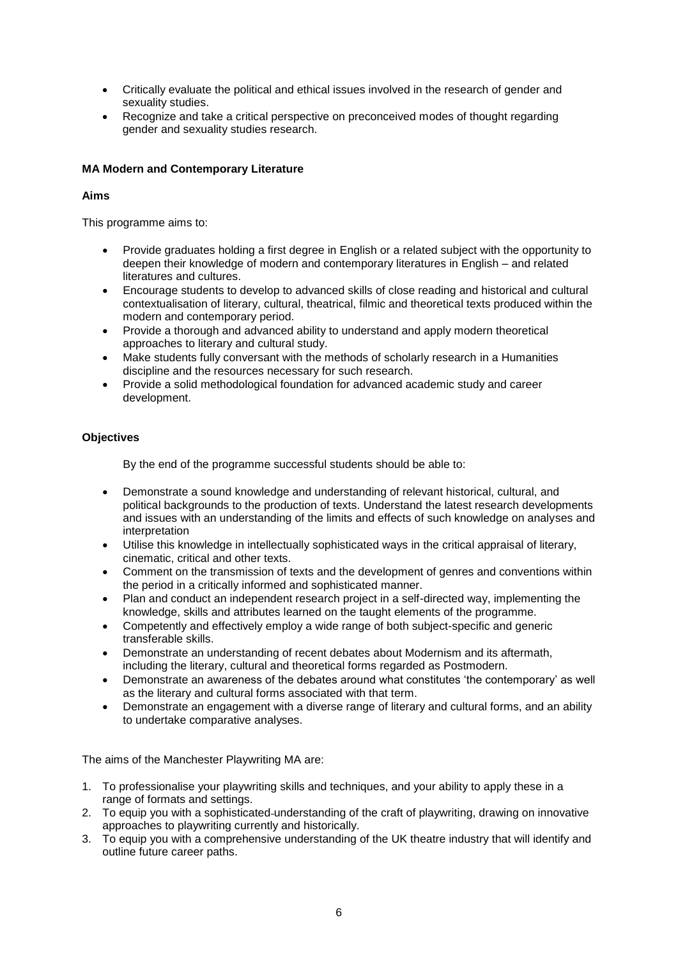- Critically evaluate the political and ethical issues involved in the research of gender and sexuality studies.
- Recognize and take a critical perspective on preconceived modes of thought regarding gender and sexuality studies research.

## **MA Modern and Contemporary Literature**

## **Aims**

This programme aims to:

- Provide graduates holding a first degree in English or a related subject with the opportunity to deepen their knowledge of modern and contemporary literatures in English – and related literatures and cultures.
- Encourage students to develop to advanced skills of close reading and historical and cultural contextualisation of literary, cultural, theatrical, filmic and theoretical texts produced within the modern and contemporary period.
- Provide a thorough and advanced ability to understand and apply modern theoretical approaches to literary and cultural study.
- Make students fully conversant with the methods of scholarly research in a Humanities discipline and the resources necessary for such research.
- Provide a solid methodological foundation for advanced academic study and career development.

### **Objectives**

By the end of the programme successful students should be able to:

- Demonstrate a sound knowledge and understanding of relevant historical, cultural, and political backgrounds to the production of texts. Understand the latest research developments and issues with an understanding of the limits and effects of such knowledge on analyses and interpretation
- Utilise this knowledge in intellectually sophisticated ways in the critical appraisal of literary, cinematic, critical and other texts.
- Comment on the transmission of texts and the development of genres and conventions within the period in a critically informed and sophisticated manner.
- Plan and conduct an independent research project in a self-directed way, implementing the knowledge, skills and attributes learned on the taught elements of the programme.
- Competently and effectively employ a wide range of both subject-specific and generic transferable skills.
- Demonstrate an understanding of recent debates about Modernism and its aftermath, including the literary, cultural and theoretical forms regarded as Postmodern.
- Demonstrate an awareness of the debates around what constitutes 'the contemporary' as well as the literary and cultural forms associated with that term.
- Demonstrate an engagement with a diverse range of literary and cultural forms, and an ability to undertake comparative analyses.

The aims of the Manchester Playwriting MA are:

- 1. To professionalise your playwriting skills and techniques, and your ability to apply these in a range of formats and settings.
- 2. To equip you with a sophisticated understanding of the craft of playwriting, drawing on innovative approaches to playwriting currently and historically.
- 3. To equip you with a comprehensive understanding of the UK theatre industry that will identify and outline future career paths.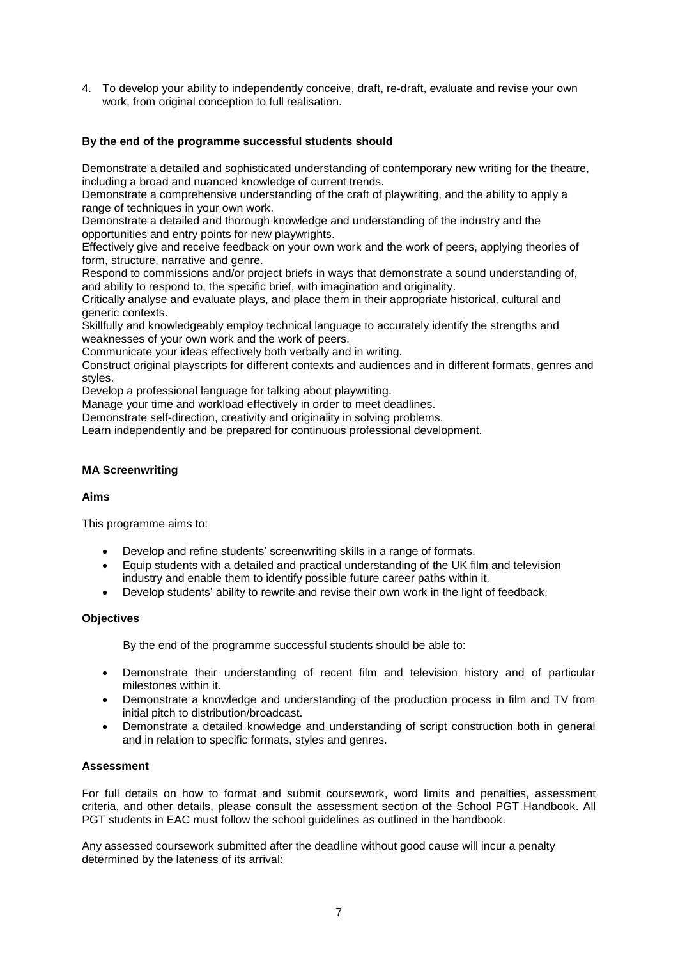4. To develop your ability to independently conceive, draft, re-draft, evaluate and revise your own work, from original conception to full realisation.

### **By the end of the programme successful students should**

Demonstrate a detailed and sophisticated understanding of contemporary new writing for the theatre, including a broad and nuanced knowledge of current trends.

Demonstrate a comprehensive understanding of the craft of playwriting, and the ability to apply a range of techniques in your own work.

Demonstrate a detailed and thorough knowledge and understanding of the industry and the opportunities and entry points for new playwrights.

Effectively give and receive feedback on your own work and the work of peers, applying theories of form, structure, narrative and genre.

Respond to commissions and/or project briefs in ways that demonstrate a sound understanding of, and ability to respond to, the specific brief, with imagination and originality.

Critically analyse and evaluate plays, and place them in their appropriate historical, cultural and generic contexts.

Skillfully and knowledgeably employ technical language to accurately identify the strengths and weaknesses of your own work and the work of peers.

Communicate your ideas effectively both verbally and in writing.

Construct original playscripts for different contexts and audiences and in different formats, genres and styles.

Develop a professional language for talking about playwriting.

Manage your time and workload effectively in order to meet deadlines.

Demonstrate self-direction, creativity and originality in solving problems.

Learn independently and be prepared for continuous professional development.

### **MA Screenwriting**

### **Aims**

This programme aims to:

- Develop and refine students' screenwriting skills in a range of formats.
- Equip students with a detailed and practical understanding of the UK film and television industry and enable them to identify possible future career paths within it.
- Develop students' ability to rewrite and revise their own work in the light of feedback.

#### **Objectives**

By the end of the programme successful students should be able to:

- Demonstrate their understanding of recent film and television history and of particular milestones within it.
- Demonstrate a knowledge and understanding of the production process in film and TV from initial pitch to distribution/broadcast.
- Demonstrate a detailed knowledge and understanding of script construction both in general and in relation to specific formats, styles and genres.

#### **Assessment**

For full details on how to format and submit coursework, word limits and penalties, assessment criteria, and other details, please consult the assessment section of the School PGT Handbook. All PGT students in EAC must follow the school guidelines as outlined in the handbook.

Any assessed coursework submitted after the deadline without good cause will incur a penalty determined by the lateness of its arrival: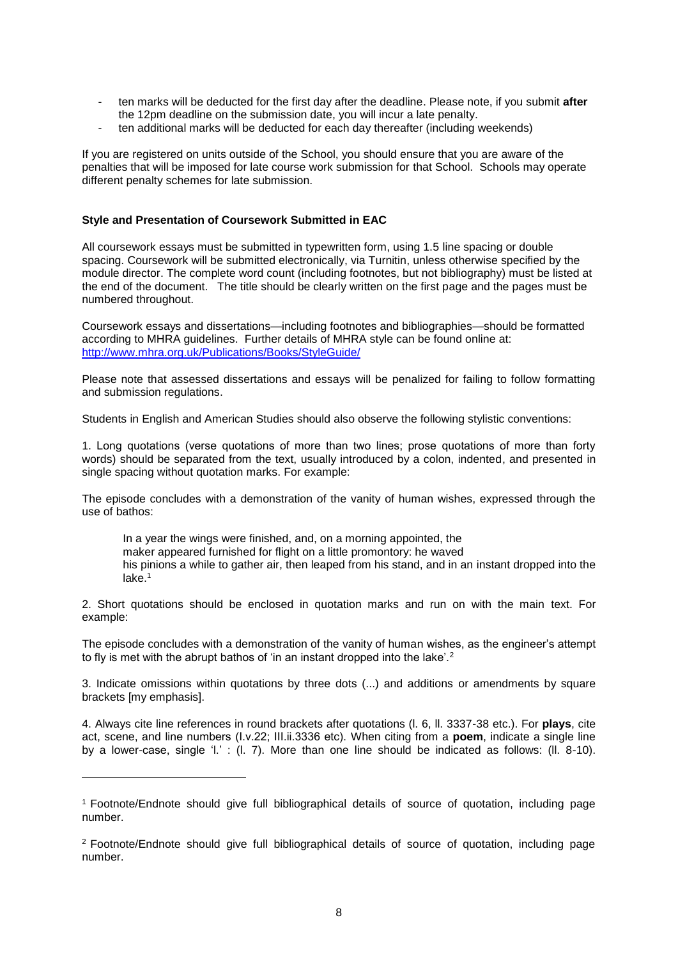- ten marks will be deducted for the first day after the deadline. Please note, if you submit **after** the 12pm deadline on the submission date, you will incur a late penalty.
- ten additional marks will be deducted for each day thereafter (including weekends)

If you are registered on units outside of the School, you should ensure that you are aware of the penalties that will be imposed for late course work submission for that School. Schools may operate different penalty schemes for late submission.

#### **Style and Presentation of Coursework Submitted in EAC**

All coursework essays must be submitted in typewritten form, using 1.5 line spacing or double spacing. Coursework will be submitted electronically, via Turnitin, unless otherwise specified by the module director. The complete word count (including footnotes, but not bibliography) must be listed at the end of the document. The title should be clearly written on the first page and the pages must be numbered throughout.

Coursework essays and dissertations—including footnotes and bibliographies—should be formatted according to MHRA guidelines. Further details of MHRA style can be found online at: <http://www.mhra.org.uk/Publications/Books/StyleGuide/>

Please note that assessed dissertations and essays will be penalized for failing to follow formatting and submission regulations.

Students in English and American Studies should also observe the following stylistic conventions:

1. Long quotations (verse quotations of more than two lines; prose quotations of more than forty words) should be separated from the text, usually introduced by a colon, indented, and presented in single spacing without quotation marks. For example:

The episode concludes with a demonstration of the vanity of human wishes, expressed through the use of bathos:

In a year the wings were finished, and, on a morning appointed, the maker appeared furnished for flight on a little promontory: he waved his pinions a while to gather air, then leaped from his stand, and in an instant dropped into the lake.<sup>1</sup>

2. Short quotations should be enclosed in quotation marks and run on with the main text. For example:

The episode concludes with a demonstration of the vanity of human wishes, as the engineer's attempt to fly is met with the abrupt bathos of 'in an instant dropped into the lake'.<sup>2</sup>

3. Indicate omissions within quotations by three dots (...) and additions or amendments by square brackets [my emphasis].

4. Always cite line references in round brackets after quotations (l. 6, ll. 3337-38 etc.). For **plays**, cite act, scene, and line numbers (I.v.22; III.ii.3336 etc). When citing from a **poem**, indicate a single line by a lower-case, single 'l.' : (l. 7). More than one line should be indicated as follows: (ll. 8-10).

-

<sup>1</sup> Footnote/Endnote should give full bibliographical details of source of quotation, including page number.

<sup>2</sup> Footnote/Endnote should give full bibliographical details of source of quotation, including page number.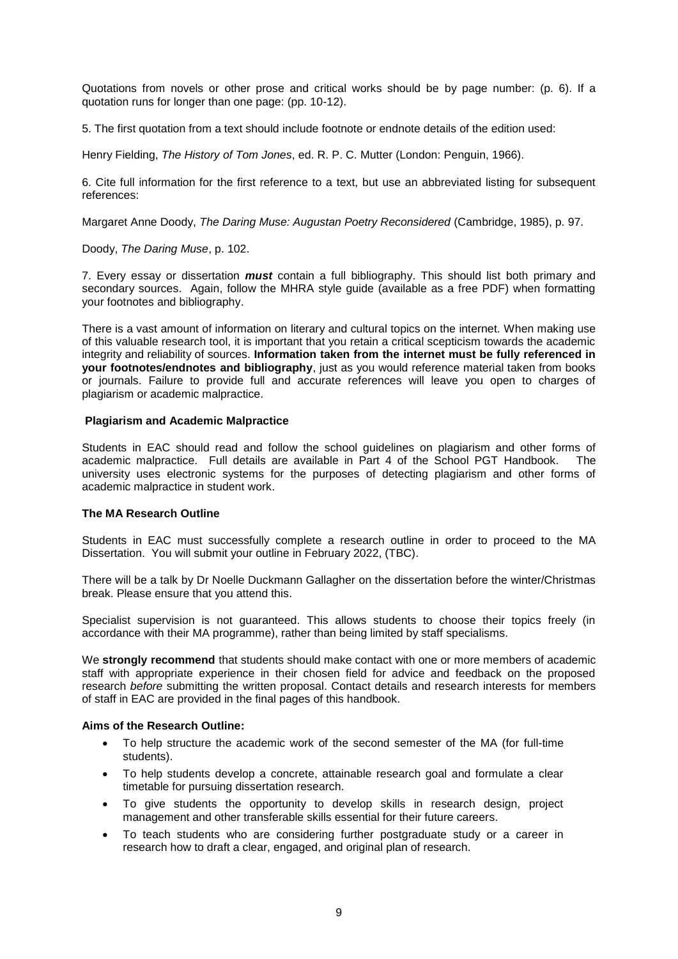Quotations from novels or other prose and critical works should be by page number: (p. 6). If a quotation runs for longer than one page: (pp. 10-12).

5. The first quotation from a text should include footnote or endnote details of the edition used:

Henry Fielding, *The History of Tom Jones*, ed. R. P. C. Mutter (London: Penguin, 1966).

6. Cite full information for the first reference to a text, but use an abbreviated listing for subsequent references:

Margaret Anne Doody, *The Daring Muse: Augustan Poetry Reconsidered* (Cambridge, 1985), p. 97.

Doody, *The Daring Muse*, p. 102.

7. Every essay or dissertation *must* contain a full bibliography. This should list both primary and secondary sources. Again, follow the MHRA style guide (available as a free PDF) when formatting your footnotes and bibliography.

There is a vast amount of information on literary and cultural topics on the internet. When making use of this valuable research tool, it is important that you retain a critical scepticism towards the academic integrity and reliability of sources. **Information taken from the internet must be fully referenced in your footnotes/endnotes and bibliography**, just as you would reference material taken from books or journals. Failure to provide full and accurate references will leave you open to charges of plagiarism or academic malpractice.

#### **Plagiarism and Academic Malpractice**

Students in EAC should read and follow the school guidelines on plagiarism and other forms of academic malpractice. Full details are available in Part 4 of the School PGT Handbook. The university uses electronic systems for the purposes of detecting plagiarism and other forms of academic malpractice in student work.

#### **The MA Research Outline**

Students in EAC must successfully complete a research outline in order to proceed to the MA Dissertation. You will submit your outline in February 2022, (TBC).

There will be a talk by Dr Noelle Duckmann Gallagher on the dissertation before the winter/Christmas break. Please ensure that you attend this.

Specialist supervision is not guaranteed. This allows students to choose their topics freely (in accordance with their MA programme), rather than being limited by staff specialisms.

We **strongly recommend** that students should make contact with one or more members of academic staff with appropriate experience in their chosen field for advice and feedback on the proposed research *before* submitting the written proposal. Contact details and research interests for members of staff in EAC are provided in the final pages of this handbook.

#### **Aims of the Research Outline:**

- To help structure the academic work of the second semester of the MA (for full-time students).
- To help students develop a concrete, attainable research goal and formulate a clear timetable for pursuing dissertation research.
- To give students the opportunity to develop skills in research design, project management and other transferable skills essential for their future careers.
- To teach students who are considering further postgraduate study or a career in research how to draft a clear, engaged, and original plan of research.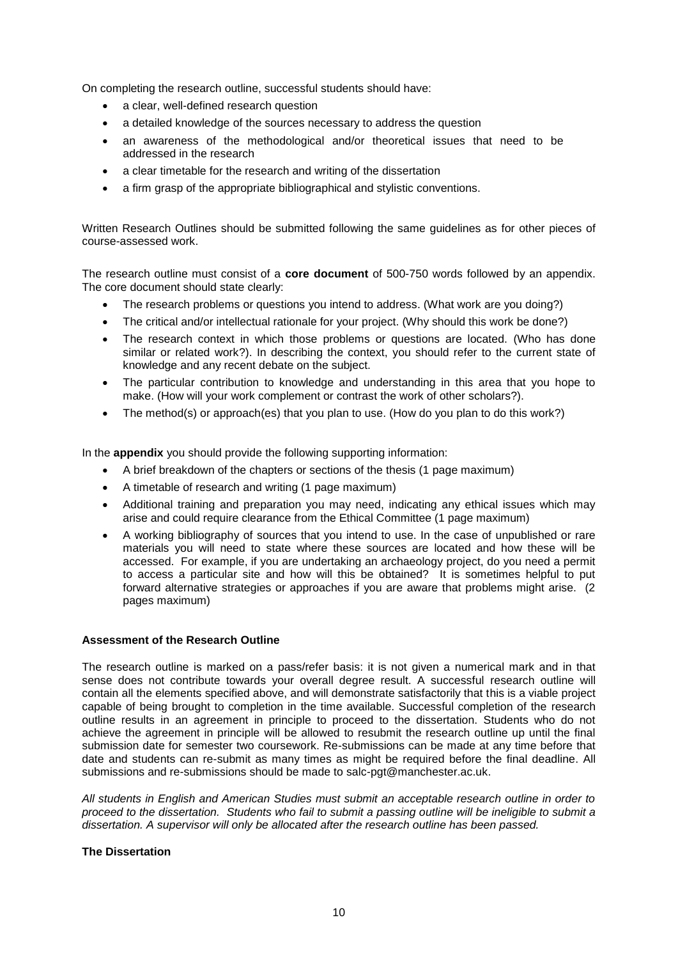On completing the research outline, successful students should have:

- a clear, well-defined research question
- a detailed knowledge of the sources necessary to address the question
- an awareness of the methodological and/or theoretical issues that need to be addressed in the research
- a clear timetable for the research and writing of the dissertation
- a firm grasp of the appropriate bibliographical and stylistic conventions.

Written Research Outlines should be submitted following the same guidelines as for other pieces of course-assessed work.

The research outline must consist of a **core document** of 500-750 words followed by an appendix. The core document should state clearly:

- The research problems or questions you intend to address. (What work are you doing?)
- The critical and/or intellectual rationale for your project. (Why should this work be done?)
- The research context in which those problems or questions are located. (Who has done similar or related work?). In describing the context, you should refer to the current state of knowledge and any recent debate on the subject.
- The particular contribution to knowledge and understanding in this area that you hope to make. (How will your work complement or contrast the work of other scholars?).
- The method(s) or approach(es) that you plan to use. (How do you plan to do this work?)

In the **appendix** you should provide the following supporting information:

- A brief breakdown of the chapters or sections of the thesis (1 page maximum)
- A timetable of research and writing (1 page maximum)
- Additional training and preparation you may need, indicating any ethical issues which may arise and could require clearance from the Ethical Committee (1 page maximum)
- A working bibliography of sources that you intend to use. In the case of unpublished or rare materials you will need to state where these sources are located and how these will be accessed. For example, if you are undertaking an archaeology project, do you need a permit to access a particular site and how will this be obtained? It is sometimes helpful to put forward alternative strategies or approaches if you are aware that problems might arise. (2 pages maximum)

### **Assessment of the Research Outline**

The research outline is marked on a pass/refer basis: it is not given a numerical mark and in that sense does not contribute towards your overall degree result. A successful research outline will contain all the elements specified above, and will demonstrate satisfactorily that this is a viable project capable of being brought to completion in the time available. Successful completion of the research outline results in an agreement in principle to proceed to the dissertation. Students who do not achieve the agreement in principle will be allowed to resubmit the research outline up until the final submission date for semester two coursework. Re-submissions can be made at any time before that date and students can re-submit as many times as might be required before the final deadline. All submissions and re-submissions should be made to salc-pgt@manchester.ac.uk.

*All students in English and American Studies must submit an acceptable research outline in order to proceed to the dissertation. Students who fail to submit a passing outline will be ineligible to submit a dissertation. A supervisor will only be allocated after the research outline has been passed.* 

#### **The Dissertation**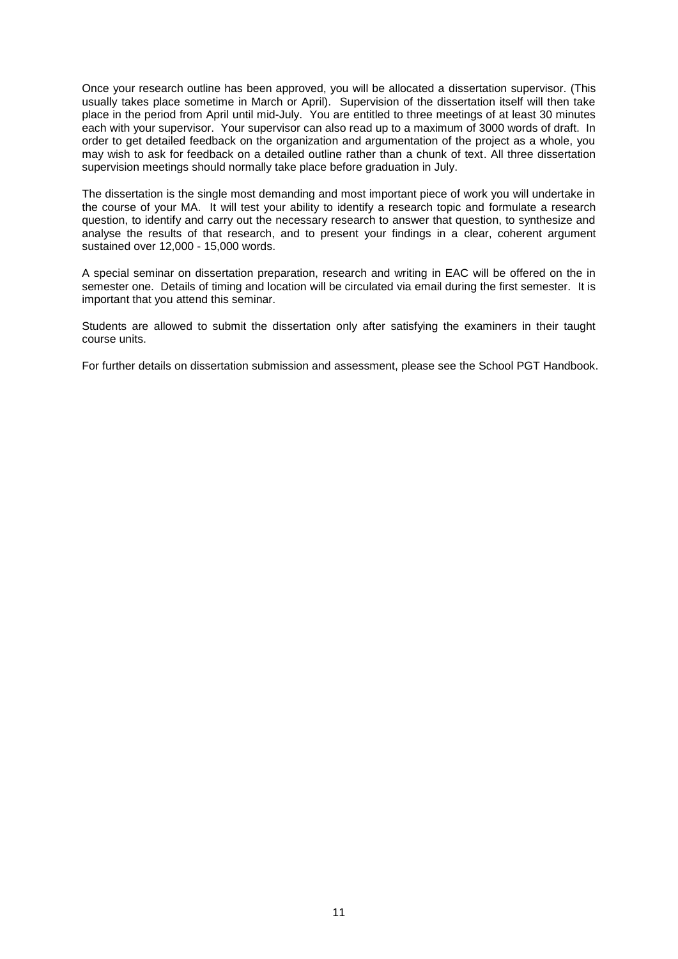Once your research outline has been approved, you will be allocated a dissertation supervisor. (This usually takes place sometime in March or April). Supervision of the dissertation itself will then take place in the period from April until mid-July. You are entitled to three meetings of at least 30 minutes each with your supervisor. Your supervisor can also read up to a maximum of 3000 words of draft. In order to get detailed feedback on the organization and argumentation of the project as a whole, you may wish to ask for feedback on a detailed outline rather than a chunk of text. All three dissertation supervision meetings should normally take place before graduation in July.

The dissertation is the single most demanding and most important piece of work you will undertake in the course of your MA. It will test your ability to identify a research topic and formulate a research question, to identify and carry out the necessary research to answer that question, to synthesize and analyse the results of that research, and to present your findings in a clear, coherent argument sustained over 12,000 - 15,000 words.

A special seminar on dissertation preparation, research and writing in EAC will be offered on the in semester one. Details of timing and location will be circulated via email during the first semester. It is important that you attend this seminar.

Students are allowed to submit the dissertation only after satisfying the examiners in their taught course units.

For further details on dissertation submission and assessment, please see the School PGT Handbook.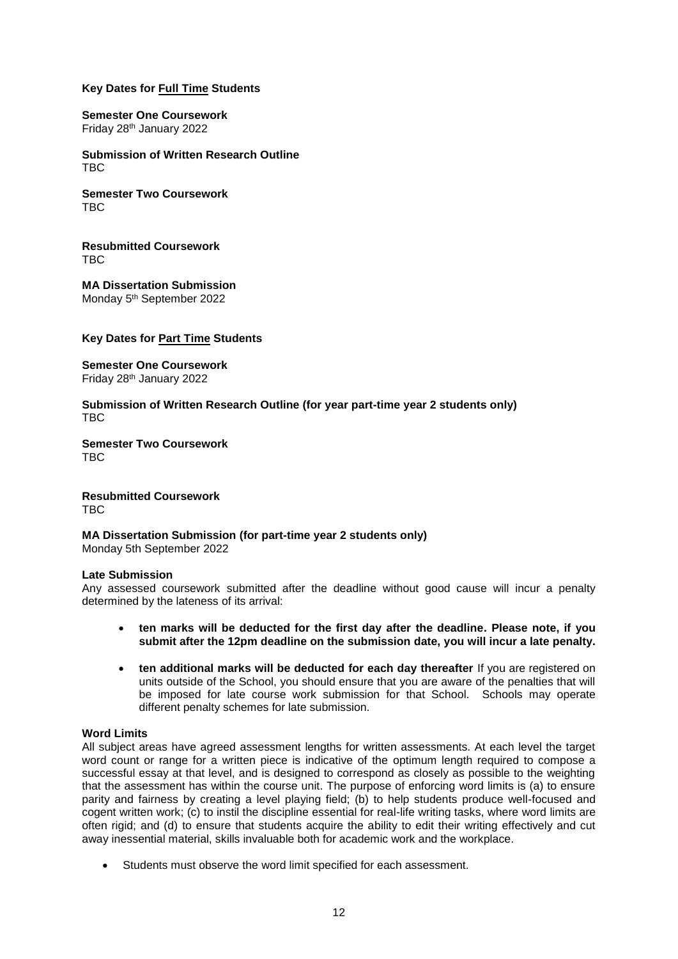## **Key Dates for Full Time Students**

**Semester One Coursework** Friday 28th January 2022

**Submission of Written Research Outline** TBC

**Semester Two Coursework** TR<sub>C</sub>

**Resubmitted Coursework** TR<sub>C</sub>

**MA Dissertation Submission** Monday 5<sup>th</sup> September 2022

### **Key Dates for Part Time Students**

**Semester One Coursework** Friday 28th January 2022

**Submission of Written Research Outline (for year part-time year 2 students only)** TBC

**Semester Two Coursework** TR<sub>C</sub>

**Resubmitted Coursework** TBC

**MA Dissertation Submission (for part-time year 2 students only)**

Monday 5th September 2022

#### **Late Submission**

Any assessed coursework submitted after the deadline without good cause will incur a penalty determined by the lateness of its arrival:

- **ten marks will be deducted for the first day after the deadline. Please note, if you submit after the 12pm deadline on the submission date, you will incur a late penalty.**
- ten additional marks will be deducted for each day thereafter If you are registered on units outside of the School, you should ensure that you are aware of the penalties that will be imposed for late course work submission for that School. Schools may operate different penalty schemes for late submission.

#### **Word Limits**

All subject areas have agreed assessment lengths for written assessments. At each level the target word count or range for a written piece is indicative of the optimum length required to compose a successful essay at that level, and is designed to correspond as closely as possible to the weighting that the assessment has within the course unit. The purpose of enforcing word limits is (a) to ensure parity and fairness by creating a level playing field; (b) to help students produce well-focused and cogent written work; (c) to instil the discipline essential for real-life writing tasks, where word limits are often rigid; and (d) to ensure that students acquire the ability to edit their writing effectively and cut away inessential material, skills invaluable both for academic work and the workplace.

Students must observe the word limit specified for each assessment.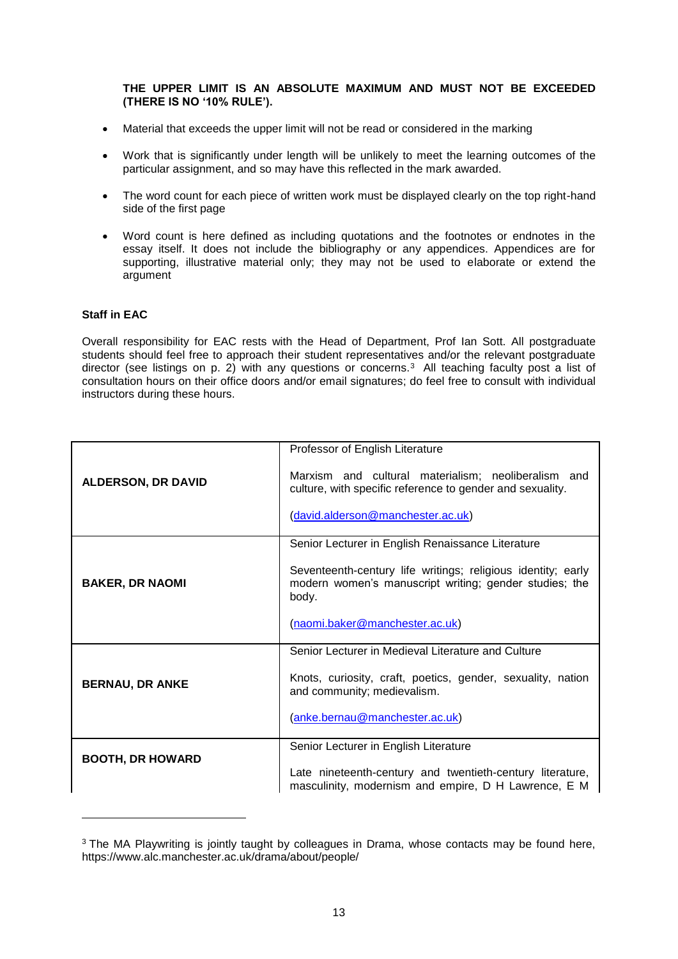### **THE UPPER LIMIT IS AN ABSOLUTE MAXIMUM AND MUST NOT BE EXCEEDED (THERE IS NO '10% RULE').**

- Material that exceeds the upper limit will not be read or considered in the marking
- Work that is significantly under length will be unlikely to meet the learning outcomes of the particular assignment, and so may have this reflected in the mark awarded.
- The word count for each piece of written work must be displayed clearly on the top right-hand side of the first page
- Word count is here defined as including quotations and the footnotes or endnotes in the essay itself. It does not include the bibliography or any appendices. Appendices are for supporting, illustrative material only; they may not be used to elaborate or extend the argument

### **Staff in EAC**

-

Overall responsibility for EAC rests with the Head of Department, Prof Ian Sott. All postgraduate students should feel free to approach their student representatives and/or the relevant postgraduate director (see listings on p. 2) with any questions or concerns.<sup>3</sup> All teaching faculty post a list of consultation hours on their office doors and/or email signatures; do feel free to consult with individual instructors during these hours.

| <b>ALDERSON, DR DAVID</b> | Professor of English Literature                                                                                                 |
|---------------------------|---------------------------------------------------------------------------------------------------------------------------------|
|                           | Marxism and cultural materialism; neoliberalism and<br>culture, with specific reference to gender and sexuality.                |
|                           | (david.alderson@manchester.ac.uk)                                                                                               |
| <b>BAKER, DR NAOMI</b>    | Senior Lecturer in English Renaissance Literature                                                                               |
|                           | Seventeenth-century life writings; religious identity; early<br>modern women's manuscript writing; gender studies; the<br>body. |
|                           | (naomi.baker@manchester.ac.uk)                                                                                                  |
| <b>BERNAU, DR ANKE</b>    | Senior Lecturer in Medieval Literature and Culture                                                                              |
|                           | Knots, curiosity, craft, poetics, gender, sexuality, nation<br>and community; medievalism.                                      |
|                           | (anke.bernau@manchester.ac.uk)                                                                                                  |
| <b>BOOTH, DR HOWARD</b>   | Senior Lecturer in English Literature                                                                                           |
|                           | Late nineteenth-century and twentieth-century literature,<br>masculinity, modernism and empire, D H Lawrence, E M               |

<sup>&</sup>lt;sup>3</sup> The MA Playwriting is jointly taught by colleagues in Drama, whose contacts may be found here, https://www.alc.manchester.ac.uk/drama/about/people/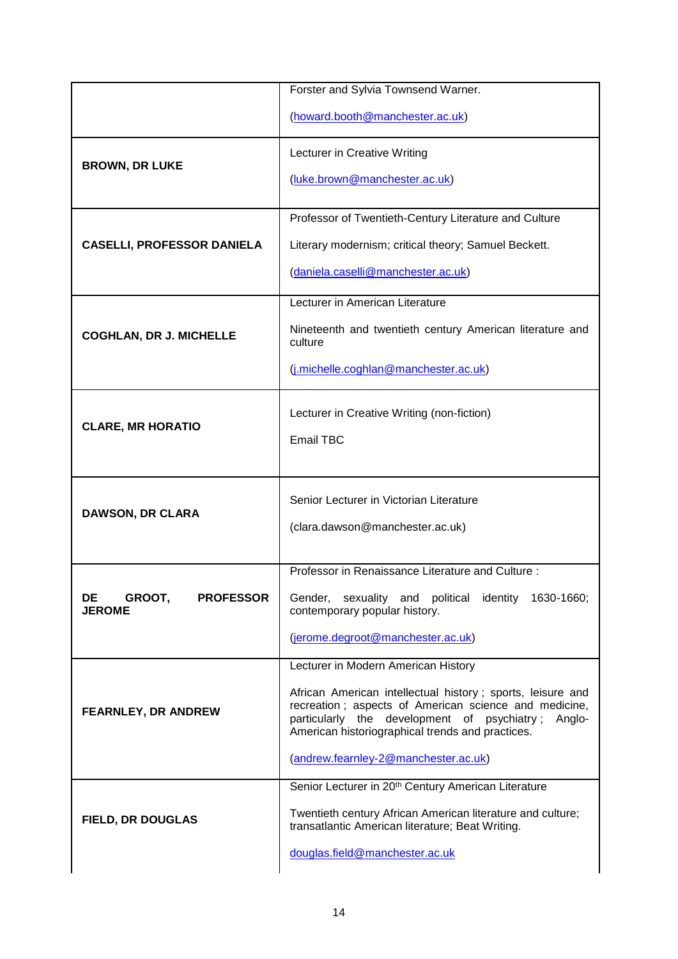|                                                   | Forster and Sylvia Townsend Warner.                                                                                                                                                                                              |
|---------------------------------------------------|----------------------------------------------------------------------------------------------------------------------------------------------------------------------------------------------------------------------------------|
|                                                   | (howard.booth@manchester.ac.uk)                                                                                                                                                                                                  |
|                                                   | Lecturer in Creative Writing                                                                                                                                                                                                     |
| <b>BROWN, DR LUKE</b>                             | (luke.brown@manchester.ac.uk)                                                                                                                                                                                                    |
| <b>CASELLI, PROFESSOR DANIELA</b>                 | Professor of Twentieth-Century Literature and Culture                                                                                                                                                                            |
|                                                   | Literary modernism; critical theory; Samuel Beckett.                                                                                                                                                                             |
|                                                   | (daniela.caselli@manchester.ac.uk)                                                                                                                                                                                               |
| <b>COGHLAN, DR J. MICHELLE</b>                    | Lecturer in American Literature                                                                                                                                                                                                  |
|                                                   | Nineteenth and twentieth century American literature and<br>culture                                                                                                                                                              |
|                                                   | (j.michelle.coghlan@manchester.ac.uk)                                                                                                                                                                                            |
|                                                   | Lecturer in Creative Writing (non-fiction)                                                                                                                                                                                       |
| <b>CLARE, MR HORATIO</b>                          | <b>Email TBC</b>                                                                                                                                                                                                                 |
|                                                   |                                                                                                                                                                                                                                  |
| <b>DAWSON, DR CLARA</b>                           | Senior Lecturer in Victorian Literature                                                                                                                                                                                          |
|                                                   | (clara.dawson@manchester.ac.uk)                                                                                                                                                                                                  |
|                                                   |                                                                                                                                                                                                                                  |
|                                                   | Professor in Renaissance Literature and Culture:                                                                                                                                                                                 |
| GROOT,<br>DE<br><b>PROFESSOR</b><br><b>JEROME</b> | Gender, sexuality and political identity 1630-1660;<br>contemporary popular history.                                                                                                                                             |
|                                                   | (jerome.degroot@manchester.ac.uk)                                                                                                                                                                                                |
|                                                   | Lecturer in Modern American History                                                                                                                                                                                              |
| <b>FEARNLEY, DR ANDREW</b>                        | African American intellectual history; sports, leisure and<br>recreation; aspects of American science and medicine,<br>particularly the development of psychiatry;<br>Anglo-<br>American historiographical trends and practices. |
|                                                   | (andrew.fearnley-2@manchester.ac.uk)                                                                                                                                                                                             |
|                                                   | Senior Lecturer in 20 <sup>th</sup> Century American Literature                                                                                                                                                                  |
| <b>FIELD, DR DOUGLAS</b>                          | Twentieth century African American literature and culture;<br>transatlantic American literature; Beat Writing.                                                                                                                   |
|                                                   | douglas.field@manchester.ac.uk                                                                                                                                                                                                   |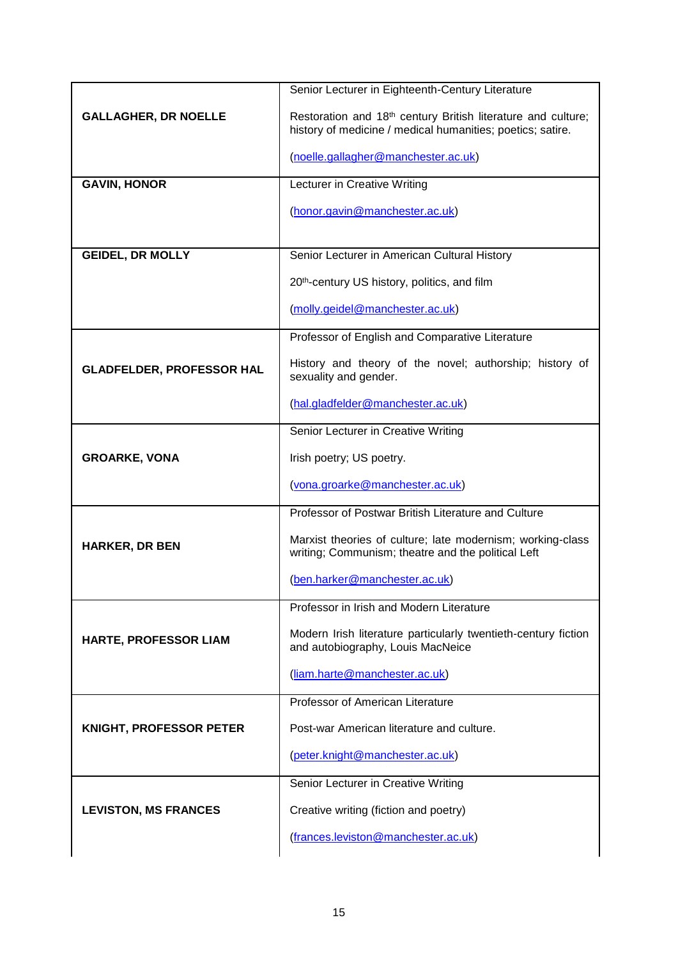|                                  | Senior Lecturer in Eighteenth-Century Literature                                                                                       |
|----------------------------------|----------------------------------------------------------------------------------------------------------------------------------------|
| <b>GALLAGHER, DR NOELLE</b>      | Restoration and 18 <sup>th</sup> century British literature and culture;<br>history of medicine / medical humanities; poetics; satire. |
|                                  | (noelle.gallagher@manchester.ac.uk)                                                                                                    |
| <b>GAVIN, HONOR</b>              | Lecturer in Creative Writing                                                                                                           |
|                                  | (honor.gavin@manchester.ac.uk)                                                                                                         |
| <b>GEIDEL, DR MOLLY</b>          | Senior Lecturer in American Cultural History                                                                                           |
|                                  |                                                                                                                                        |
|                                  | 20th-century US history, politics, and film                                                                                            |
|                                  | (molly.geidel@manchester.ac.uk)                                                                                                        |
|                                  | Professor of English and Comparative Literature                                                                                        |
| <b>GLADFELDER, PROFESSOR HAL</b> | History and theory of the novel; authorship; history of<br>sexuality and gender.                                                       |
|                                  | (hal.gladfelder@manchester.ac.uk)                                                                                                      |
|                                  | Senior Lecturer in Creative Writing                                                                                                    |
| <b>GROARKE, VONA</b>             | Irish poetry; US poetry.                                                                                                               |
|                                  | (vona.groarke@manchester.ac.uk)                                                                                                        |
|                                  | Professor of Postwar British Literature and Culture                                                                                    |
| <b>HARKER, DR BEN</b>            | Marxist theories of culture; late modernism; working-class<br>writing; Communism; theatre and the political Left                       |
|                                  | (ben.harker@manchester.ac.uk)                                                                                                          |
|                                  | Professor in Irish and Modern Literature                                                                                               |
| HARTE, PROFESSOR LIAM            | Modern Irish literature particularly twentieth-century fiction<br>and autobiography, Louis MacNeice                                    |
|                                  | (liam.harte@manchester.ac.uk)                                                                                                          |
|                                  | Professor of American Literature                                                                                                       |
| <b>KNIGHT, PROFESSOR PETER</b>   | Post-war American literature and culture.                                                                                              |
|                                  | (peter.knight@manchester.ac.uk)                                                                                                        |
|                                  | Senior Lecturer in Creative Writing                                                                                                    |
| <b>LEVISTON, MS FRANCES</b>      | Creative writing (fiction and poetry)                                                                                                  |
|                                  | (frances.leviston@manchester.ac.uk)                                                                                                    |
|                                  |                                                                                                                                        |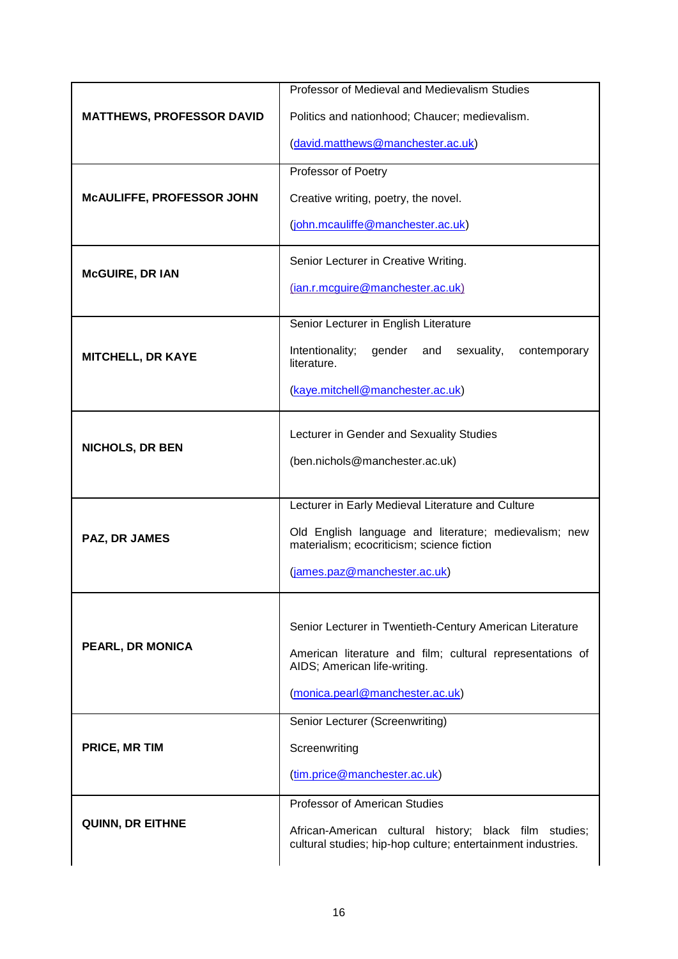| <b>MATTHEWS, PROFESSOR DAVID</b> | Professor of Medieval and Medievalism Studies                                                                          |
|----------------------------------|------------------------------------------------------------------------------------------------------------------------|
|                                  | Politics and nationhood; Chaucer; medievalism.                                                                         |
|                                  | (david.matthews@manchester.ac.uk)                                                                                      |
|                                  | Professor of Poetry                                                                                                    |
| MCAULIFFE, PROFESSOR JOHN        | Creative writing, poetry, the novel.                                                                                   |
|                                  | (john.mcauliffe@manchester.ac.uk)                                                                                      |
| <b>McGUIRE, DR IAN</b>           | Senior Lecturer in Creative Writing.                                                                                   |
|                                  | (ian.r.mcguire@manchester.ac.uk)                                                                                       |
|                                  | Senior Lecturer in English Literature                                                                                  |
| <b>MITCHELL, DR KAYE</b>         | Intentionality;<br>gender and<br>sexuality,<br>contemporary<br>literature.                                             |
|                                  | (kaye.mitchell@manchester.ac.uk)                                                                                       |
|                                  | Lecturer in Gender and Sexuality Studies                                                                               |
| <b>NICHOLS, DR BEN</b>           | (ben.nichols@manchester.ac.uk)                                                                                         |
|                                  |                                                                                                                        |
| PAZ, DR JAMES                    | Lecturer in Early Medieval Literature and Culture                                                                      |
|                                  | Old English language and literature; medievalism; new<br>materialism; ecocriticism; science fiction                    |
|                                  | (james.paz@manchester.ac.uk)                                                                                           |
| <b>PEARL, DR MONICA</b>          |                                                                                                                        |
|                                  | Senior Lecturer in Twentieth-Century American Literature                                                               |
|                                  | American literature and film; cultural representations of<br>AIDS; American life-writing.                              |
|                                  | (monica.pearl@manchester.ac.uk)                                                                                        |
|                                  | Senior Lecturer (Screenwriting)                                                                                        |
| PRICE, MR TIM                    | Screenwriting                                                                                                          |
|                                  | (tim.price@manchester.ac.uk)                                                                                           |
|                                  | <b>Professor of American Studies</b>                                                                                   |
| QUINN, DR EITHNE                 | African-American cultural history; black film studies;<br>cultural studies; hip-hop culture; entertainment industries. |
|                                  |                                                                                                                        |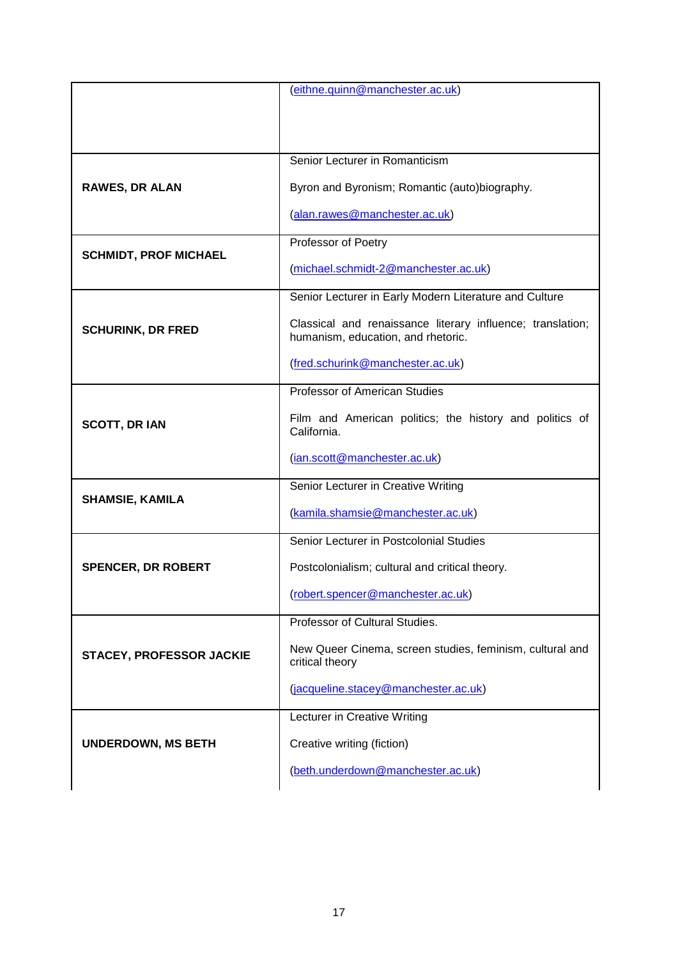|                                 | (eithne.quinn@manchester.ac.uk)                                                                  |
|---------------------------------|--------------------------------------------------------------------------------------------------|
|                                 |                                                                                                  |
|                                 |                                                                                                  |
|                                 |                                                                                                  |
| <b>RAWES, DR ALAN</b>           | Senior Lecturer in Romanticism                                                                   |
|                                 | Byron and Byronism; Romantic (auto)biography.                                                    |
|                                 | (alan.rawes@manchester.ac.uk)                                                                    |
| <b>SCHMIDT, PROF MICHAEL</b>    | Professor of Poetry                                                                              |
|                                 | (michael.schmidt-2@manchester.ac.uk)                                                             |
| <b>SCHURINK, DR FRED</b>        | Senior Lecturer in Early Modern Literature and Culture                                           |
|                                 | Classical and renaissance literary influence; translation;<br>humanism, education, and rhetoric. |
|                                 | (fred.schurink@manchester.ac.uk)                                                                 |
|                                 | Professor of American Studies                                                                    |
| <b>SCOTT, DR IAN</b>            | Film and American politics; the history and politics of<br>California.                           |
|                                 | (ian.scott@manchester.ac.uk)                                                                     |
|                                 | Senior Lecturer in Creative Writing                                                              |
| <b>SHAMSIE, KAMILA</b>          | (kamila.shamsie@manchester.ac.uk)                                                                |
|                                 | Senior Lecturer in Postcolonial Studies                                                          |
| <b>SPENCER, DR ROBERT</b>       | Postcolonialism; cultural and critical theory.                                                   |
|                                 | (robert.spencer@manchester.ac.uk)                                                                |
|                                 | Professor of Cultural Studies.                                                                   |
| <b>STACEY, PROFESSOR JACKIE</b> | New Queer Cinema, screen studies, feminism, cultural and<br>critical theory                      |
|                                 | (jacqueline.stacey@manchester.ac.uk)                                                             |
| <b>UNDERDOWN, MS BETH</b>       | Lecturer in Creative Writing                                                                     |
|                                 | Creative writing (fiction)                                                                       |
|                                 | (beth.underdown@manchester.ac.uk)                                                                |
|                                 |                                                                                                  |